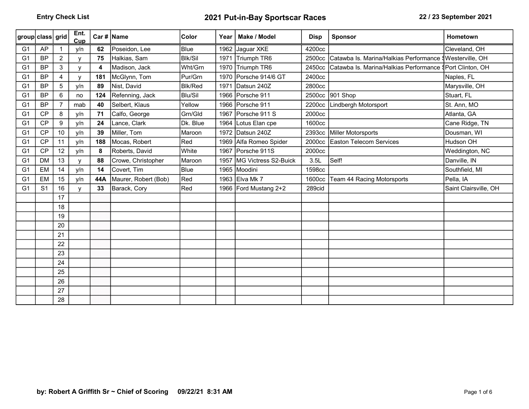| group class grid |                |                | Ent.<br>Cup  |     | Car #   Name         | <b>Color</b>   | Year | Make / Model              | <b>Disp</b> | <b>Sponsor</b>                                                 | <b>Hometown</b>       |
|------------------|----------------|----------------|--------------|-----|----------------------|----------------|------|---------------------------|-------------|----------------------------------------------------------------|-----------------------|
| G <sub>1</sub>   | AP             |                | y/n          | 62  | Poseidon, Lee        | <b>B</b> lue   |      | 1962 Jaguar XKE           | 4200cc      |                                                                | Cleveland, OH         |
| G <sub>1</sub>   | <b>BP</b>      | $\overline{2}$ | $\mathsf{v}$ | 75  | Halkias, Sam         | <b>BIK/Sil</b> |      | 1971 Triumph TR6          |             | 2500cc Catawba Is. Marina/Halkias Performance SWesterville, OH |                       |
| G <sub>1</sub>   | <b>BP</b>      | 3              | v            | 4   | Madison, Jack        | Wht/Grn        |      | 1970 Triumph TR6          | 2450cc      | Catawba Is. Marina/Halkias Performance §Port Clinton, OH       |                       |
| G <sub>1</sub>   | <b>BP</b>      | 4              | $\mathsf{v}$ | 181 | McGlynn, Tom         | Pur/Grn        |      | 1970 Porsche 914/6 GT     | 2400cc      |                                                                | Naples, FL            |
| G <sub>1</sub>   | <b>BP</b>      | 5              | y/n          | 89  | Nist, David          | <b>Blk/Red</b> |      | 1971 Datsun 240Z          | 2800cc      |                                                                | Marysville, OH        |
| G <sub>1</sub>   | <b>BP</b>      | 6              | no           | 124 | Refenning, Jack      | Blu/Sil        |      | 1966 Porsche 911          |             | 2500cc 901 Shop                                                | Stuart, FL            |
| G <sub>1</sub>   | <b>BP</b>      |                | mab          | 40  | Selbert, Klaus       | Yellow         |      | 1966 Porsche 911          | 2200cc      | Lindbergh Motorsport                                           | St. Ann, MO           |
| G <sub>1</sub>   | <b>CP</b>      | 8              | y/n          | 71  | Calfo, George        | Grn/Gld        |      | 1967 Porsche 911 S        | 2000cc      |                                                                | Atlanta, GA           |
| G <sub>1</sub>   | <b>CP</b>      | 9              | y/n          | 24  | Lance, Clark         | Dk. Blue       |      | 1964 Lotus Elan cpe       | 1600cc      |                                                                | Cane Ridge, TN        |
| G <sub>1</sub>   | CP             | 10             | y/n          | 39  | Miller, Tom          | Maroon         |      | 1972 Datsun 240Z          |             | 2393cc Miller Motorsports                                      | Dousman, WI           |
| G <sub>1</sub>   | <b>CP</b>      | 11             | y/n          | 188 | Mocas, Robert        | Red            |      | 1969 Alfa Romeo Spider    | 2000cc      | <b>Easton Telecom Services</b>                                 | Hudson OH             |
| G <sub>1</sub>   | <b>CP</b>      | 12             | y/n          | 8   | Roberts, David       | White          |      | 1967 Porsche 911S         | 2000cc      |                                                                | Weddington, NC        |
| G <sub>1</sub>   | <b>DM</b>      | 13             | $\mathsf{v}$ | 88  | Crowe, Christopher   | Maroon         |      | 1957 MG Victress S2-Buick | 3.5L        | Self!                                                          | Danville, IN          |
| G <sub>1</sub>   | EM             | 14             | y/n          | 14  | Covert, Tim          | Blue           |      | 1965 Moodini              | 1598cc      |                                                                | Southfield, MI        |
| G <sub>1</sub>   | EM             | 15             | y/n          | 44A | Maurer, Robert (Bob) | $ $ Red        |      | 1963 Elva Mk 7            | 1600cc      | Team 44 Racing Motorsports                                     | Pella, IA             |
| G <sub>1</sub>   | S <sub>1</sub> | 16             |              | 33  | Barack, Cory         | Red            |      | 1966 Ford Mustang 2+2     | 289cid      |                                                                | Saint Clairsville, OH |
|                  |                | 17             |              |     |                      |                |      |                           |             |                                                                |                       |
|                  |                | 18             |              |     |                      |                |      |                           |             |                                                                |                       |
|                  |                | 19             |              |     |                      |                |      |                           |             |                                                                |                       |
|                  |                | 20             |              |     |                      |                |      |                           |             |                                                                |                       |
|                  |                | 21             |              |     |                      |                |      |                           |             |                                                                |                       |
|                  |                | 22             |              |     |                      |                |      |                           |             |                                                                |                       |
|                  |                | 23             |              |     |                      |                |      |                           |             |                                                                |                       |
|                  |                | 24             |              |     |                      |                |      |                           |             |                                                                |                       |
|                  |                | 25             |              |     |                      |                |      |                           |             |                                                                |                       |
|                  |                | 26             |              |     |                      |                |      |                           |             |                                                                |                       |
|                  |                | 27             |              |     |                      |                |      |                           |             |                                                                |                       |
|                  |                | 28             |              |     |                      |                |      |                           |             |                                                                |                       |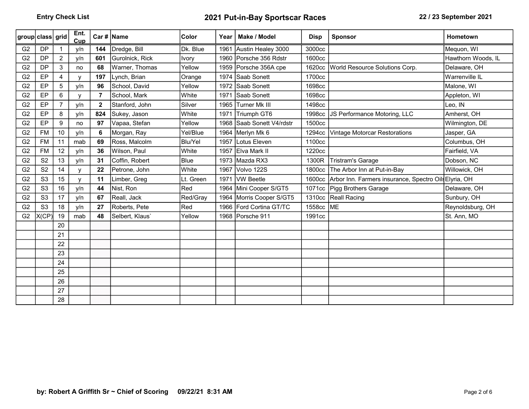| group class grid |                |                | Ent.<br>Cup  |              | Car #   Name    | <b>Color</b> | Year | Make / Model              | <b>Disp</b> | <b>Sponsor</b>                                               | <b>Hometown</b>    |
|------------------|----------------|----------------|--------------|--------------|-----------------|--------------|------|---------------------------|-------------|--------------------------------------------------------------|--------------------|
| G <sub>2</sub>   | <b>DP</b>      |                | v/n          | 144          | Dredge, Bill    | Dk. Blue     | 1961 | Austin Healey 3000        | 3000cc      |                                                              | Mequon, WI         |
| G <sub>2</sub>   | <b>DP</b>      | $\overline{2}$ | y/n          | 601          | Gurolnick, Rick | <b>Ivory</b> |      | 1960 Porsche 356 Rdstr    | 1600cc      |                                                              | Hawthorn Woods, IL |
| G <sub>2</sub>   | <b>DP</b>      | 3              | no           | 68           | Warner, Thomas  | Yellow       |      | 1959 Porsche 356A cpe     | 1620cc      | World Resource Solutions Corp.                               | Delaware, OH       |
| G <sub>2</sub>   | EP             | 4              | $\mathsf{V}$ | 197          | Lynch, Brian    | Orange       |      | 1974 Saab Sonett          | 1700cc      |                                                              | Warrenville IL     |
| G <sub>2</sub>   | EP             | 5              | y/n          | 96           | School, David   | Yellow       |      | 1972 Saab Sonett          | 1698cc      |                                                              | Malone, WI         |
| G <sub>2</sub>   | EP             | 6              | $\mathbf{V}$ | 7            | School, Mark    | White        |      | 1971 Saab Sonett          | 1698cc      |                                                              | Appleton, WI       |
| G <sub>2</sub>   | EP             | $\overline{7}$ | y/n          | $\mathbf{2}$ | Stanford, John  | Silver       |      | 1965 Turner Mk III        | 1498cc      |                                                              | Leo, IN            |
| G <sub>2</sub>   | EP             | 8              | y/n          | 824          | Sukey, Jason    | White        |      | 1971 Triumph GT6          |             | 1998cc JS Performance Motoring, LLC                          | Amherst, OH        |
| G <sub>2</sub>   | EP             | 9              | no           | 97           | Vapaa, Stefan   | Yellow       |      | 1968 Saab Sonett V4/rdstr | 1500cc      |                                                              | Wilmington, DE     |
| G <sub>2</sub>   | <b>FM</b>      | 10             | y/n          | 6            | Morgan, Ray     | Yel/Blue     |      | 1964 Merlyn Mk 6          | 1294cc      | Vintage Motorcar Restorations                                | Jasper, GA         |
| G <sub>2</sub>   | <b>FM</b>      | 11             | mab          | 69           | Ross, Malcolm   | Blu/Yel      |      | 1957 Lotus Eleven         | 1100cc      |                                                              | Columbus, OH       |
| G <sub>2</sub>   | <b>FM</b>      | 12             | y/n          | 36           | Wilson, Paul    | White        |      | 1957 Elva Mark II         | 1220cc      |                                                              | Fairfield, VA      |
| G <sub>2</sub>   | S <sub>2</sub> | 13             | y/n          | 31           | Coffin, Robert  | Blue         |      | 1973 Mazda RX3            |             | 1300R Tristram's Garage                                      | Dobson, NC         |
| G <sub>2</sub>   | S <sub>2</sub> | 14             | $\mathbf v$  | 22           | Petrone, John   | White        |      | 1967 Volvo 122S           | 1800cc      | The Arbor Inn at Put-in-Bay                                  | Willowick, OH      |
| G <sub>2</sub>   | S <sub>3</sub> | 15             | $\mathsf{v}$ | 11           | Limber, Greg    | Lt. Green    |      | 1971 VW Beetle            |             | 1600cc Arbor Inn. Farmers insurance, Spectro Oils Elyria, OH |                    |
| G <sub>2</sub>   | S <sub>3</sub> | 16             | y/n          | 44           | Nist, Ron       | Red          |      | 1964 Mini Cooper S/GT5    |             | 1071cc Pigg Brothers Garage                                  | Delaware, OH       |
| G <sub>2</sub>   | S <sub>3</sub> | 17             | y/n          | 67           | Reall, Jack     | Red/Gray     |      | 1964 Morris Cooper S/GT5  |             | 1310cc Reall Racing                                          | Sunbury, OH        |
| G <sub>2</sub>   | S <sub>3</sub> | 18             | v/n          | 27           | Roberts, Pete   | Red          |      | 1966 Ford Cortina GT/TC   | 1558cc ME   |                                                              | Reynoldsburg, OH   |
| G <sub>2</sub>   | X(CP)          | 19             | mab          | 48           | Selbert, Klaus' | Yellow       |      | 1968 Porsche 911          | 1991cc      |                                                              | St. Ann, MO        |
|                  |                | 20             |              |              |                 |              |      |                           |             |                                                              |                    |
|                  |                | 21             |              |              |                 |              |      |                           |             |                                                              |                    |
|                  |                | 22             |              |              |                 |              |      |                           |             |                                                              |                    |
|                  |                | 23             |              |              |                 |              |      |                           |             |                                                              |                    |
|                  |                | 24             |              |              |                 |              |      |                           |             |                                                              |                    |
|                  |                | 25             |              |              |                 |              |      |                           |             |                                                              |                    |
|                  |                | 26             |              |              |                 |              |      |                           |             |                                                              |                    |
|                  |                | 27             |              |              |                 |              |      |                           |             |                                                              |                    |
|                  |                | 28             |              |              |                 |              |      |                           |             |                                                              |                    |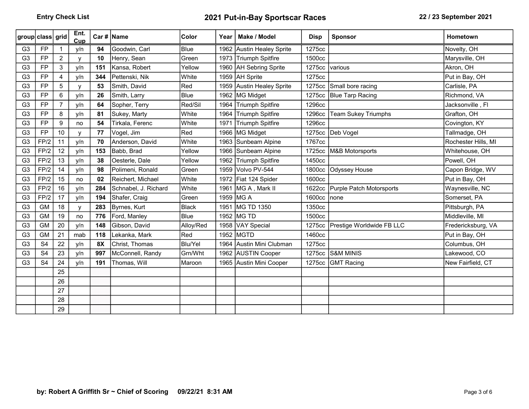|                | group class grid |                | Ent.<br>Cup  |     | Car #   Name         | <b>Color</b> | Year | Make / Model              | <b>Disp</b> | <b>Sponsor</b>                   | Hometown            |
|----------------|------------------|----------------|--------------|-----|----------------------|--------------|------|---------------------------|-------------|----------------------------------|---------------------|
| G <sub>3</sub> | <b>FP</b>        |                | y/n          | 94  | Goodwin, Carl        | Blue         |      | 1962 Austin Healey Sprite | 1275cc      |                                  | Novelty, OH         |
| G <sub>3</sub> | <b>FP</b>        | $\overline{2}$ | V            | 10  | Henry, Sean          | Green        |      | 1973 Triumph Spitfire     | 1500cc      |                                  | Marysville, OH      |
| G <sub>3</sub> | <b>FP</b>        | 3              | y/n          | 151 | Kansa, Robert        | Yellow       |      | 1960 AH Sebring Sprite    | 1275cc      | various                          | Akron, OH           |
| G <sub>3</sub> | <b>FP</b>        | 4              | y/n          | 344 | Pettenski, Nik       | White        |      | 1959   AH Sprite          | 1275cc      |                                  | Put in Bay, OH      |
| G <sub>3</sub> | <b>FP</b>        | 5              | $\mathsf{v}$ | 53  | Smith, David         | Red          |      | 1959 Austin Healey Sprite |             | 1275cc Small bore racing         | Carlisle, PA        |
| G <sub>3</sub> | <b>FP</b>        | 6              | y/n          | 26  | Smith, Larry         | Blue         |      | 1962 MG Midget            | 1275cc      | Blue Tarp Racing                 | Richmond, VA        |
| G <sub>3</sub> | <b>FP</b>        | $\overline{7}$ | y/n          | 64  | Sopher, Terry        | Red/Sil      |      | 1964 Triumph Spitfire     | 1296cc      |                                  | Jacksonville, Fl    |
| G <sub>3</sub> | <b>FP</b>        | 8              | y/n          | 81  | Sukey, Marty         | White        |      | 1964 Triumph Spitfire     | 1296cc      | <b>Team Sukey Triumphs</b>       | Grafton, OH         |
| G <sub>3</sub> | <b>FP</b>        | 9              | no           | 54  | Tirkala, Ferenc      | White        | 1971 | Triumph Spitfire          | 1296cc      |                                  | Covington, KY       |
| G <sub>3</sub> | <b>FP</b>        | 10             | $\mathsf{v}$ | 77  | Vogel, Jim           | Red          |      | 1966   MG Midget          |             | 1275cc Deb Vogel                 | Tallmadge, OH       |
| G <sub>3</sub> | FP/2             | 11             | y/n          | 70  | Anderson, David      | White        |      | 1963 Sunbeam Alpine       | 1767cc      |                                  | Rochester Hills, MI |
| G <sub>3</sub> | FP/2             | 12             | y/n          | 153 | Babb, Brad           | Yellow       |      | 1966 Sunbeam Alpine       | 1725cc      | M&B Motorsports                  | Whitehouse, OH      |
| G <sub>3</sub> | FP/2             | 13             | y/n          | 38  | Oesterle, Dale       | Yellow       | 1962 | Triumph Spitfire          | 1450cc      |                                  | Powell, OH          |
| G <sub>3</sub> | FP/2             | 14             | y/n          | 98  | Polimeni, Ronald     | Green        |      | 1959 Volvo PV-544         | 1800cc      | Odyssey House                    | Capon Bridge, WV    |
| G <sub>3</sub> | FP/2             | 15             | no           | 02  | Reichert, Michael    | White        |      | 1972   Fiat 124 Spider    | 1600cc      |                                  | Put in Bay, OH      |
| G <sub>3</sub> | FP/2             | 16             | y/n          | 284 | Schnabel, J. Richard | White        | 1961 | MG A, Mark II             | 1622cc      | Purple Patch Motorsports         | Waynesville, NC     |
| G <sub>3</sub> | FP/2             | 17             | y/n          | 194 | Shafer, Craig        | Green        |      | 1959 MG A                 | 1600cc      | none                             | Somerset, PA        |
| G <sub>3</sub> | <b>GM</b>        | 18             | y            | 283 | Byrnes, Kurt         | <b>Black</b> |      | 1951 MG TD 1350           | 1350cc      |                                  | Pittsburgh, PA      |
| G <sub>3</sub> | <b>GM</b>        | 19             | no           | 776 | Ford, Manley         | Blue         |      | 1952 MG TD                | 1500cc      |                                  | Middleville, MI     |
| G <sub>3</sub> | <b>GM</b>        | 20             | y/n          | 148 | Gibson, David        | Alloy/Red    |      | 1958 VAY Special          |             | 1275cc Prestige Worldwide FB LLC | Fredericksburg, VA  |
| G <sub>3</sub> | <b>GM</b>        | 21             | mab          | 118 | Lekanka, Mark        | Red          |      | 1952   MGTD               | 1460cc      |                                  | Put in Bay, OH      |
| G <sub>3</sub> | S <sub>4</sub>   | 22             | y/n          | 8X  | Christ, Thomas       | Blu/Yel      |      | 1964 Austin Mini Clubman  | 1275cc      |                                  | Columbus, OH        |
| G <sub>3</sub> | S <sub>4</sub>   | 23             | y/n          | 997 | McConnell, Randy     | Grn/Wht      |      | 1962 AUSTIN Cooper        | 1275cc      | <b>S&amp;M MINIS</b>             | Lakewood, CO        |
| G <sub>3</sub> | S <sub>4</sub>   | 24             | y/n          | 191 | Thomas, Will         | Maroon       |      | 1965 Austin Mini Cooper   | 1275cc      | <b>GMT Racing</b>                | New Fairfield, CT   |
|                |                  | 25             |              |     |                      |              |      |                           |             |                                  |                     |
|                |                  | 26             |              |     |                      |              |      |                           |             |                                  |                     |
|                |                  | 27             |              |     |                      |              |      |                           |             |                                  |                     |
|                |                  | 28             |              |     |                      |              |      |                           |             |                                  |                     |
|                |                  | 29             |              |     |                      |              |      |                           |             |                                  |                     |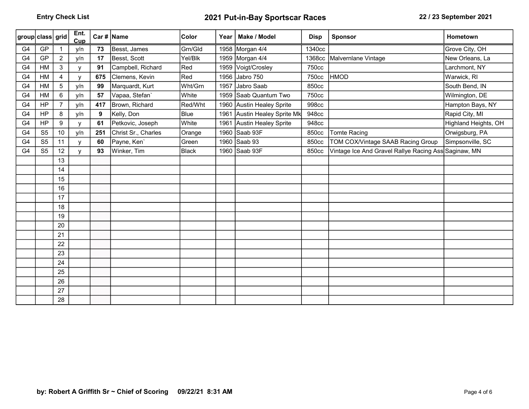| group class grid |                |                | Ent.<br>Cup  |     | Car #   Name        | <b>Color</b>     | Year | Make / Model                 | <b>Disp</b> | <b>Sponsor</b>                                       | <b>Hometown</b>      |
|------------------|----------------|----------------|--------------|-----|---------------------|------------------|------|------------------------------|-------------|------------------------------------------------------|----------------------|
| G <sub>4</sub>   | GP             |                | y/n          | 73  | Besst, James        | Grn/Gld          |      | 1958 Morgan 4/4              | 1340cc      |                                                      | Grove City, OH       |
| G <sub>4</sub>   | GP             | $\overline{2}$ | y/n          | 17  | Besst, Scott        | Yel/Blk          |      | 1959 Morgan 4/4              | 1368cc      | Malvernlane Vintage                                  | New Orleans, La      |
| G4               | HM             | 3              | V            | 91  | Campbell, Richard   | Red              |      | 1959 Voigt/Crosley           | 750cc       |                                                      | Larchmont, NY        |
| G <sub>4</sub>   | HM             | $\overline{4}$ | $\mathsf{V}$ | 675 | Clemens, Kevin      | $ \mathsf{Red} $ |      | 1956 Jabro 750               | 750cc       | <b>HMOD</b>                                          | Warwick, RI          |
| G <sub>4</sub>   | HM             | 5              | y/n          | 99  | Marquardt, Kurt     | Wht/Grn          |      | 1957 Jabro Saab              | 850cc       |                                                      | South Bend, IN       |
| G <sub>4</sub>   | HM             | 6              | y/n          | 57  | Vapaa, Stefan`      | White            |      | 1959 Saab Quantum Two        | 750cc       |                                                      | Wilmington, DE       |
| G <sub>4</sub>   | HP             | $\overline{7}$ | y/n          | 417 | Brown, Richard      | Red/Wht          |      | 1960 Austin Healey Sprite    | 998cc       |                                                      | Hampton Bays, NY     |
| G <sub>4</sub>   | HP             | 8              | y/n          | 9   | Kelly, Don          | Blue             |      | 1961 Austin Healey Sprite Mk | 948cc       |                                                      | Rapid City, MI       |
| G <sub>4</sub>   | HP             | 9              | $\mathsf{V}$ | 61  | Petkovic, Joseph    | White            |      | 1961 Austin Healey Sprite    | 948cc       |                                                      | Highland Heights, OH |
| G <sub>4</sub>   | S <sub>5</sub> | 10             | y/n          | 251 | Christ Sr., Charles | Orange           |      | 1960 Saab 93F                | 850cc       | <b>Tomte Racing</b>                                  | Orwigsburg, PA       |
| G <sub>4</sub>   | S <sub>5</sub> | 11             | V            | 60  | Payne, Ken`         | Green            |      | 1960 Saab 93                 | 850cc       | TOM COX/Vintage SAAB Racing Group                    | Simpsonville, SC     |
| G4               | S <sub>5</sub> | 12             | v            | 93  | Winker, Tim         | Black            |      | 1960 Saab 93F                | 850cc       | Vintage Ice And Gravel Rallye Racing Ass Saginaw, MN |                      |
|                  |                | 13             |              |     |                     |                  |      |                              |             |                                                      |                      |
|                  |                | 14             |              |     |                     |                  |      |                              |             |                                                      |                      |
|                  |                | 15             |              |     |                     |                  |      |                              |             |                                                      |                      |
|                  |                | 16             |              |     |                     |                  |      |                              |             |                                                      |                      |
|                  |                | 17             |              |     |                     |                  |      |                              |             |                                                      |                      |
|                  |                | 18             |              |     |                     |                  |      |                              |             |                                                      |                      |
|                  |                | 19             |              |     |                     |                  |      |                              |             |                                                      |                      |
|                  |                | 20             |              |     |                     |                  |      |                              |             |                                                      |                      |
|                  |                | 21             |              |     |                     |                  |      |                              |             |                                                      |                      |
|                  |                | 22             |              |     |                     |                  |      |                              |             |                                                      |                      |
|                  |                | 23             |              |     |                     |                  |      |                              |             |                                                      |                      |
|                  |                | 24             |              |     |                     |                  |      |                              |             |                                                      |                      |
|                  |                | 25             |              |     |                     |                  |      |                              |             |                                                      |                      |
|                  |                | 26             |              |     |                     |                  |      |                              |             |                                                      |                      |
|                  |                | 27             |              |     |                     |                  |      |                              |             |                                                      |                      |
|                  |                | 28             |              |     |                     |                  |      |                              |             |                                                      |                      |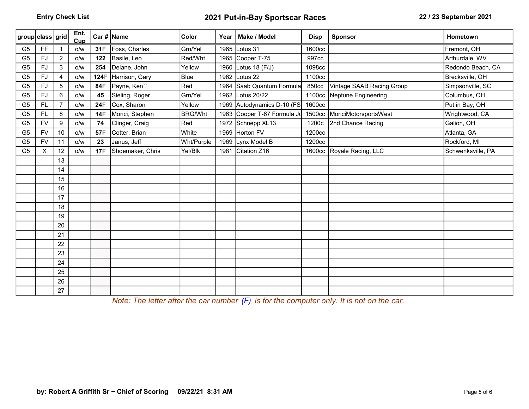| group class grid |           |                | Ent.<br>Cup |             | Car #   Name     | Color          | Year | Make / Model                | <b>Disp</b> | <b>Sponsor</b>               | <b>Hometown</b>   |
|------------------|-----------|----------------|-------------|-------------|------------------|----------------|------|-----------------------------|-------------|------------------------------|-------------------|
| G <sub>5</sub>   | FF        |                | O/W         | 31F         | Foss, Charles    | Grn/Yel        |      | 1965 Lotus 31               | 1600cc      |                              | Fremont, OH       |
| G <sub>5</sub>   | <b>FJ</b> | $\overline{2}$ | o/w         | 122         | Basile, Leo      | Red/Wht        |      | 1965 Cooper T-75            | 997cc       |                              | Arthurdale, WV    |
| G <sub>5</sub>   | FJ        | 3              | o/w         | 254         | Delane, John     | Yellow         |      | 1960 Lotus 18 (F/J)         | 1098cc      |                              | Redondo Beach, CA |
| G <sub>5</sub>   | <b>FJ</b> | $\overline{4}$ | o/w         | <b>124F</b> | Harrison, Gary   | Blue           |      | 1962 Lotus 22               | 1100cc      |                              | Brecksville, OH   |
| G <sub>5</sub>   | <b>FJ</b> | 5              | O/W         | 84F         | Payne, Ken"      | Red            |      | 1964 Saab Quantum Formula   | 850cc       | Vintage SAAB Racing Group    | Simpsonville, SC  |
| G <sub>5</sub>   | <b>FJ</b> | 6              | o/w         | 45          | Sieling, Roger   | Grn/Yel        |      | 1962 Lotus 20/22            |             | 1100cc Neptune Engineering   | Columbus, OH      |
| G <sub>5</sub>   | <b>FL</b> |                | o/w         | 24日         | Cox, Sharon      | Yellow         |      | 1969 Autodynamics D-10 (FS) | 1600cc      |                              | Put in Bay, OH    |
| G <sub>5</sub>   | FL        | 8              | o/w         | 14日         | Morici, Stephen  | <b>BRG/Wht</b> |      | 1963 Cooper T-67 Formula Ju |             | 1500cc MoriciMotorsportsWest | Wrightwood, CA    |
| G <sub>5</sub>   | <b>FV</b> | 9              | o/w         | 74          | Clinger, Craig   | Red            |      | 1972 Schnepp XL13           | 1200c       | 2nd Chance Racing            | Galion, OH        |
| G <sub>5</sub>   | <b>FV</b> | 10             | O/W         | 57F         | Cotter, Brian    | White          |      | 1969 Horton FV              | 1200cc      |                              | Atlanta, GA       |
| G <sub>5</sub>   | <b>FV</b> | 11             | O/W         | 23          | Janus, Jeff      | Wht/Purple     |      | 1969 Lynx Model B           | 1200cc      |                              | Rockford, MI      |
| G <sub>5</sub>   | X         | 12             | O/W         | 17F         | Shoemaker, Chris | Yel/Blk        |      | 1981 Citation Z16           |             | 1600cc Royale Racing, LLC    | Schwenksville, PA |
|                  |           | 13             |             |             |                  |                |      |                             |             |                              |                   |
|                  |           | 14             |             |             |                  |                |      |                             |             |                              |                   |
|                  |           | 15             |             |             |                  |                |      |                             |             |                              |                   |
|                  |           | 16             |             |             |                  |                |      |                             |             |                              |                   |
|                  |           | 17             |             |             |                  |                |      |                             |             |                              |                   |
|                  |           | 18             |             |             |                  |                |      |                             |             |                              |                   |
|                  |           | 19             |             |             |                  |                |      |                             |             |                              |                   |
|                  |           | 20             |             |             |                  |                |      |                             |             |                              |                   |
|                  |           | 21             |             |             |                  |                |      |                             |             |                              |                   |
|                  |           | 22             |             |             |                  |                |      |                             |             |                              |                   |
|                  |           | 23             |             |             |                  |                |      |                             |             |                              |                   |
|                  |           | 24             |             |             |                  |                |      |                             |             |                              |                   |
|                  |           | 25             |             |             |                  |                |      |                             |             |                              |                   |
|                  |           | 26             |             |             |                  |                |      |                             |             |                              |                   |
|                  |           | 27             |             |             |                  |                |      |                             |             |                              |                   |

Note: The letter after the car number (F) is for the computer only. It is not on the car.